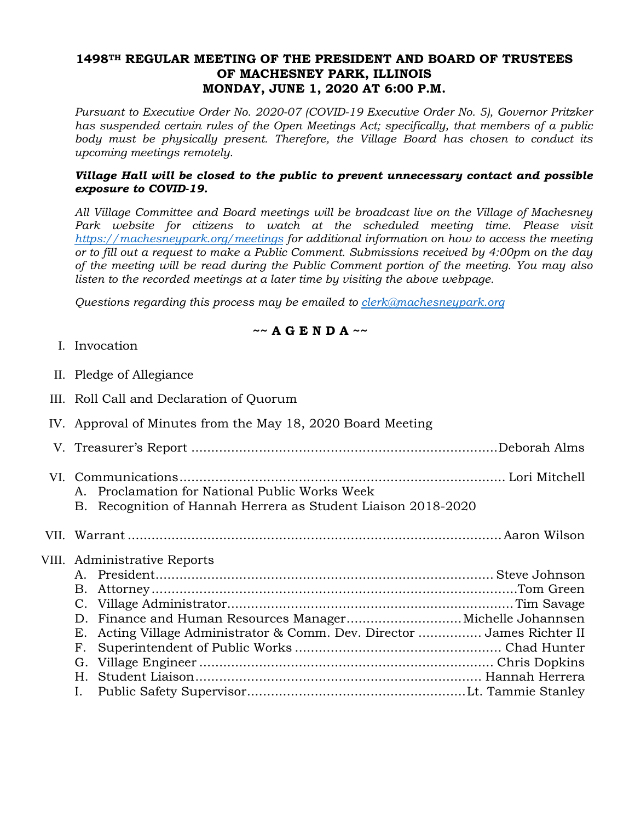## **1498TH REGULAR MEETING OF THE PRESIDENT AND BOARD OF TRUSTEES OF MACHESNEY PARK, ILLINOIS MONDAY, JUNE 1, 2020 AT 6:00 P.M.**

*Pursuant to Executive Order No. 2020-07 (COVID-19 Executive Order No. 5), Governor Pritzker has suspended certain rules of the Open Meetings Act; specifically, that members of a public body must be physically present. Therefore, the Village Board has chosen to conduct its upcoming meetings remotely.* 

### *Village Hall will be closed to the public to prevent unnecessary contact and possible exposure to COVID-19.*

*All Village Committee and Board meetings will be broadcast live on the Village of Machesney*  Park website for citizens to watch at the scheduled meeting time. Please visit *https://machesneypark.org/meetings for additional information on how to access the meeting or to fill out a request to make a Public Comment. Submissions received by 4:00pm on the day of the meeting will be read during the Public Comment portion of the meeting. You may also listen to the recorded meetings at a later time by visiting the above webpage.* 

*Questions regarding this process may be emailed to clerk@machesneypark.org* 

# **~~ A G E N D A ~~**

- I. Invocation
- II. Pledge of Allegiance
- III. Roll Call and Declaration of Quorum
- IV. Approval of Minutes from the May 18, 2020 Board Meeting
- V. Treasurer's Report ............................................................................. Deborah Alms
- VI. Communications .................................................................................. Lori Mitchell A. Proclamation for National Public Works Week
	- B. Recognition of Hannah Herrera as Student Liaison 2018-2020

VII. Warrant .............................................................................................. Aaron Wilson

#### VIII. Administrative Reports

| E. Acting Village Administrator & Comm. Dev. Director  James Richter II |  |
|-------------------------------------------------------------------------|--|
|                                                                         |  |
|                                                                         |  |
|                                                                         |  |
|                                                                         |  |